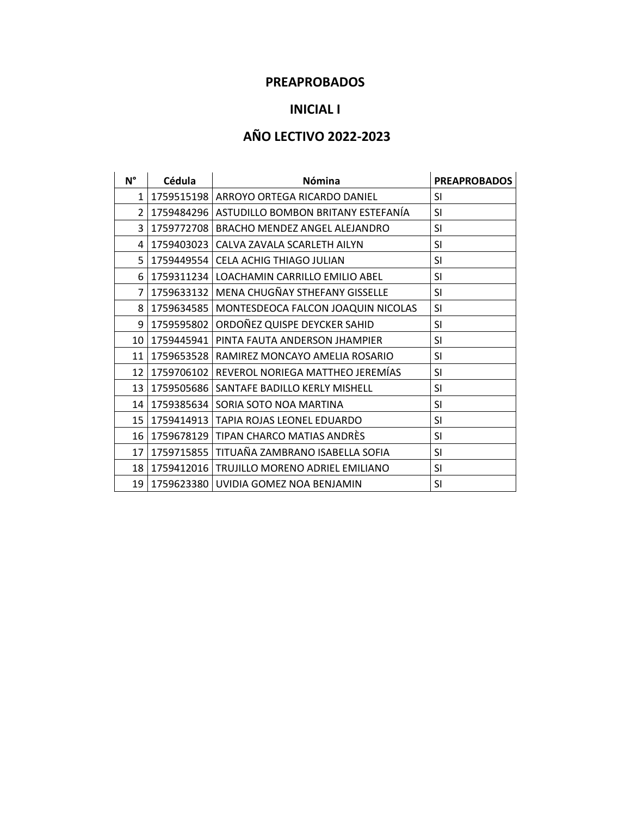## **PREAPROBADOS**

## **INICIAL I**

# **AÑO LECTIVO 2022-2023**

| $N^{\circ}$     | Cédula     | <b>Nómina</b>                                   | <b>PREAPROBADOS</b> |  |
|-----------------|------------|-------------------------------------------------|---------------------|--|
| $\mathbf{1}$    |            | 1759515198   ARROYO ORTEGA RICARDO DANIEL       | SI                  |  |
| $\mathcal{P}$   |            | 1759484296   ASTUDILLO BOMBON BRITANY ESTEFANÍA | SI                  |  |
| 3               |            | 1759772708   BRACHO MENDEZ ANGEL ALEJANDRO      | <b>SI</b>           |  |
| 4               | 1759403023 | CALVA ZAVALA SCARLETH AILYN                     | <b>SI</b>           |  |
| 5               | 1759449554 | CELA ACHIG THIAGO JULIAN                        | SI                  |  |
| 6               |            | 1759311234   LOACHAMIN CARRILLO EMILIO ABEL     | SI                  |  |
| 7               | 1759633132 | MENA CHUGÑAY STHEFANY GISSELLE                  | SI                  |  |
| 8               |            | 1759634585   MONTESDEOCA FALCON JOAQUIN NICOLAS | SI                  |  |
| 9               | 1759595802 | ORDOÑEZ QUISPE DEYCKER SAHID                    | <b>SI</b>           |  |
| 10 <sub>1</sub> |            | 1759445941   PINTA FAUTA ANDERSON JHAMPIER      | SI                  |  |
| 11              |            | 1759653528   RAMIREZ MONCAYO AMELIA ROSARIO     |                     |  |
| 12              |            | 1759706102 REVEROL NORIEGA MATTHEO JEREMÍAS     | SI                  |  |
| 13 <sup>1</sup> |            | 1759505686   SANTAFE BADILLO KERLY MISHELL      | SI                  |  |
| 14              |            | 1759385634 SORIA SOTO NOA MARTINA               | SI                  |  |
| 15 <sup>1</sup> |            | 1759414913   TAPIA ROJAS LEONEL EDUARDO         | SI                  |  |
| 16              |            | 1759678129 TIPAN CHARCO MATIAS ANDRÈS           | SI                  |  |
| 17              |            | 1759715855   TITUAÑA ZAMBRANO ISABELLA SOFIA    | SI                  |  |
| 18 l            |            | 1759412016   TRUJILLO MORENO ADRIEL EMILIANO    | SI                  |  |
| 19              |            | 1759623380 UVIDIA GOMEZ NOA BENJAMIN            | SI                  |  |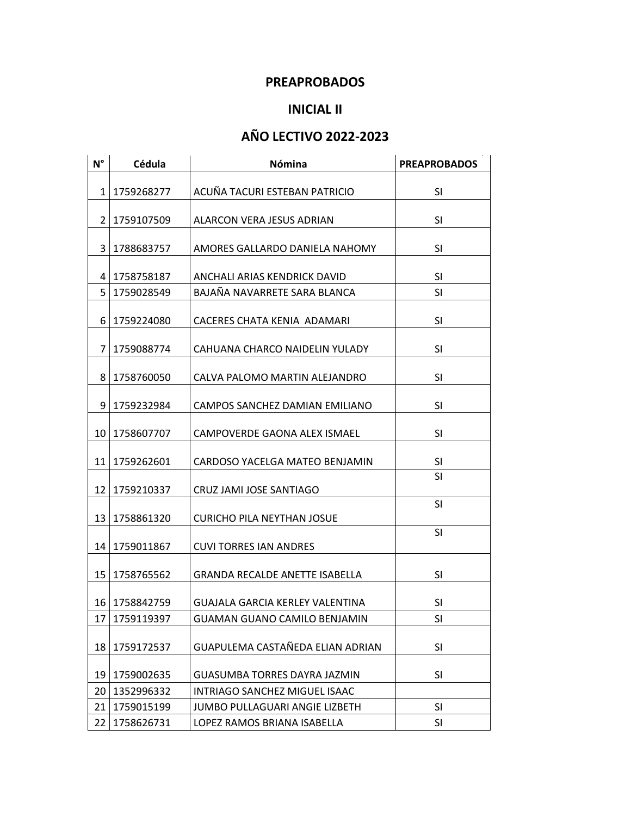## **PREAPROBADOS**

## **INICIAL II**

# **AÑO LECTIVO 2022-2023**

| $N^{\circ}$    | Cédula     | Nómina                                 | <b>PREAPROBADOS</b> |
|----------------|------------|----------------------------------------|---------------------|
|                |            |                                        |                     |
| $\mathbf{1}$   | 1759268277 | ACUÑA TACURI ESTEBAN PATRICIO          | SI                  |
| $\overline{2}$ | 1759107509 | ALARCON VERA JESUS ADRIAN              | SI                  |
| 3              | 1788683757 | AMORES GALLARDO DANIELA NAHOMY         | SI                  |
| 4              | 1758758187 | ANCHALI ARIAS KENDRICK DAVID           | SI                  |
| 5              | 1759028549 | BAJAÑA NAVARRETE SARA BLANCA           | SI                  |
| 6              | 1759224080 | CACERES CHATA KENIA ADAMARI            | SI                  |
| $\overline{7}$ | 1759088774 | CAHUANA CHARCO NAIDELIN YULADY         | SI                  |
| 8              | 1758760050 | CALVA PALOMO MARTIN ALEJANDRO          | SI                  |
| 9              | 1759232984 | CAMPOS SANCHEZ DAMIAN EMILIANO         | SI                  |
| 10             | 1758607707 | CAMPOVERDE GAONA ALEX ISMAEL           | SI                  |
| 11             | 1759262601 | CARDOSO YACELGA MATEO BENJAMIN         | SI                  |
| 12             | 1759210337 | CRUZ JAMI JOSE SANTIAGO                | SI                  |
| 13             | 1758861320 | <b>CURICHO PILA NEYTHAN JOSUE</b>      | SI                  |
| 14             | 1759011867 | <b>CUVI TORRES IAN ANDRES</b>          | SI                  |
| 15             | 1758765562 | <b>GRANDA RECALDE ANETTE ISABELLA</b>  | SI                  |
| 16             | 1758842759 | <b>GUAJALA GARCIA KERLEY VALENTINA</b> | SI                  |
| 17             | 1759119397 | <b>GUAMAN GUANO CAMILO BENJAMIN</b>    | SI                  |
| 18             | 1759172537 | GUAPULEMA CASTAÑEDA ELIAN ADRIAN       | SI                  |
| 19             | 1759002635 | GUASUMBA TORRES DAYRA JAZMIN           | SI                  |
| 20             | 1352996332 | INTRIAGO SANCHEZ MIGUEL ISAAC          |                     |
| 21             | 1759015199 | JUMBO PULLAGUARI ANGIE LIZBETH         | SI                  |
| 22             | 1758626731 | LOPEZ RAMOS BRIANA ISABELLA            | SI                  |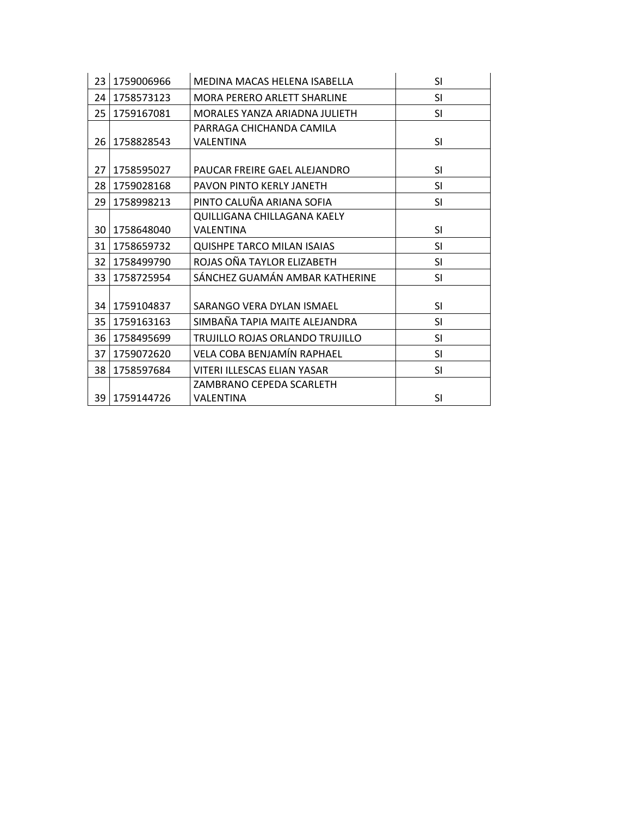| 23 | 1759006966 | MEDINA MACAS HELENA ISABELLA      | <b>SI</b> |
|----|------------|-----------------------------------|-----------|
| 24 | 1758573123 | MORA PERERO ARLETT SHARLINE       | <b>SI</b> |
| 25 | 1759167081 | MORALES YANZA ARIADNA JULIETH     | <b>SI</b> |
|    |            | PARRAGA CHICHANDA CAMILA          |           |
| 26 | 1758828543 | VALENTINA                         | <b>SI</b> |
|    |            |                                   |           |
| 27 | 1758595027 | PAUCAR FREIRE GAEL ALEJANDRO      | <b>SI</b> |
| 28 | 1759028168 | PAVON PINTO KERLY JANETH          | <b>SI</b> |
| 29 | 1758998213 | PINTO CALUÑA ARIANA SOFIA         | <b>SI</b> |
|    |            | QUILLIGANA CHILLAGANA KAELY       |           |
| 30 | 1758648040 | <b>VALENTINA</b>                  | <b>SI</b> |
| 31 | 1758659732 | <b>QUISHPE TARCO MILAN ISAIAS</b> | <b>SI</b> |
| 32 | 1758499790 | ROJAS OÑA TAYLOR ELIZABETH        | <b>SI</b> |
| 33 | 1758725954 | SÁNCHEZ GUAMÁN AMBAR KATHERINE    | <b>SI</b> |
|    |            |                                   |           |
| 34 | 1759104837 | SARANGO VERA DYLAN ISMAEL         | <b>SI</b> |
| 35 | 1759163163 | SIMBAÑA TAPIA MAITE ALEJANDRA     | <b>SI</b> |
| 36 | 1758495699 | TRUJILLO ROJAS ORLANDO TRUJILLO   | <b>SI</b> |
| 37 | 1759072620 | VELA COBA BENJAMÍN RAPHAEL        | SI        |
| 38 | 1758597684 | VITERI ILLESCAS ELIAN YASAR       | <b>SI</b> |
|    |            | ZAMBRANO CEPEDA SCARLETH          |           |
| 39 | 1759144726 | VALENTINA                         | SI        |